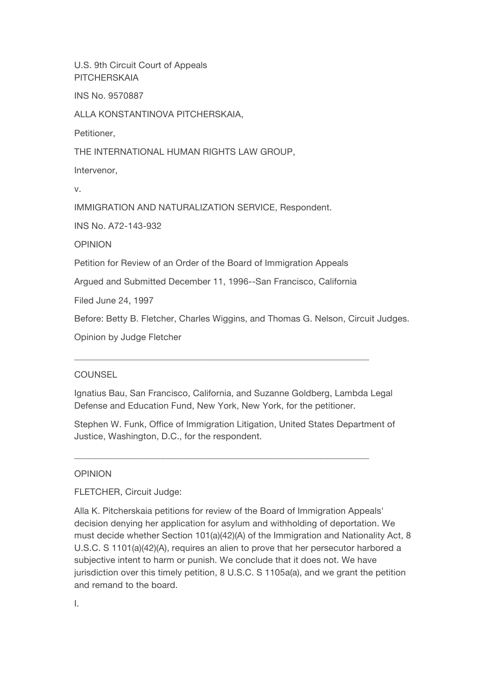U.S. 9th Circuit Court of Appeals **PITCHERSKAIA** 

INS No. 9570887

ALLA KONSTANTINOVA PITCHERSKAIA,

Petitioner,

THE INTERNATIONAL HUMAN RIGHTS LAW GROUP,

Intervenor,

v.

IMMIGRATION AND NATURALIZATION SERVICE, Respondent.

INS No. A72-143-932

OPINION

Petition for Review of an Order of the Board of Immigration Appeals

Argued and Submitted December 11, 1996--San Francisco, California

\_\_\_\_\_\_\_\_\_\_\_\_\_\_\_\_\_\_\_\_\_\_\_\_\_\_\_\_\_\_\_\_\_\_\_\_\_\_\_\_\_\_\_\_\_\_\_\_\_\_\_\_\_\_\_\_\_\_\_\_\_\_\_\_\_

Filed June 24, 1997

Before: Betty B. Fletcher, Charles Wiggins, and Thomas G. Nelson, Circuit Judges.

Opinion by Judge Fletcher

## **COUNSEL**

Ignatius Bau, San Francisco, California, and Suzanne Goldberg, Lambda Legal Defense and Education Fund, New York, New York, for the petitioner.

Stephen W. Funk, Office of Immigration Litigation, United States Department of Justice, Washington, D.C., for the respondent.

\_\_\_\_\_\_\_\_\_\_\_\_\_\_\_\_\_\_\_\_\_\_\_\_\_\_\_\_\_\_\_\_\_\_\_\_\_\_\_\_\_\_\_\_\_\_\_\_\_\_\_\_\_\_\_\_\_\_\_\_\_\_\_\_\_

## OPINION

FLETCHER, Circuit Judge:

Alla K. Pitcherskaia petitions for review of the Board of Immigration Appeals' decision denying her application for asylum and withholding of deportation. We must decide whether Section 101(a)(42)(A) of the Immigration and Nationality Act, 8 U.S.C. S 1101(a)(42)(A), requires an alien to prove that her persecutor harbored a subjective intent to harm or punish. We conclude that it does not. We have jurisdiction over this timely petition, 8 U.S.C. S 1105a(a), and we grant the petition and remand to the board.

I.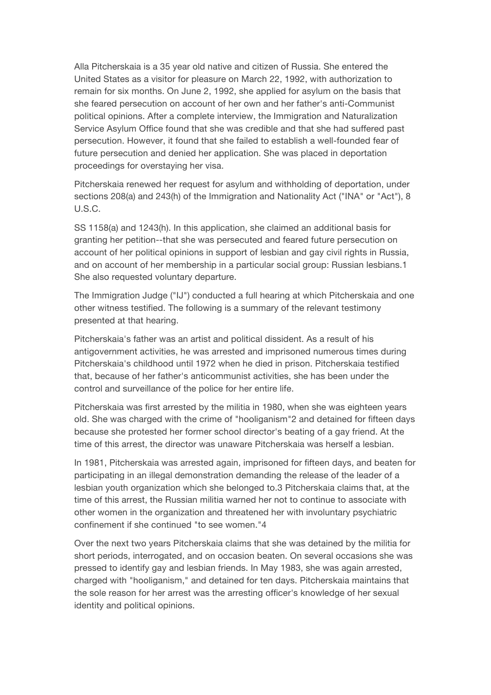Alla Pitcherskaia is a 35 year old native and citizen of Russia. She entered the United States as a visitor for pleasure on March 22, 1992, with authorization to remain for six months. On June 2, 1992, she applied for asylum on the basis that she feared persecution on account of her own and her father's anti-Communist political opinions. After a complete interview, the Immigration and Naturalization Service Asylum Office found that she was credible and that she had suffered past persecution. However, it found that she failed to establish a well-founded fear of future persecution and denied her application. She was placed in deportation proceedings for overstaying her visa.

Pitcherskaia renewed her request for asylum and withholding of deportation, under sections 208(a) and 243(h) of the Immigration and Nationality Act ("INA" or "Act"), 8 U.S.C.

SS 1158(a) and 1243(h). In this application, she claimed an additional basis for granting her petition--that she was persecuted and feared future persecution on account of her political opinions in support of lesbian and gay civil rights in Russia, and on account of her membership in a particular social group: Russian lesbians.1 She also requested voluntary departure.

The Immigration Judge ("IJ") conducted a full hearing at which Pitcherskaia and one other witness testified. The following is a summary of the relevant testimony presented at that hearing.

Pitcherskaia's father was an artist and political dissident. As a result of his antigovernment activities, he was arrested and imprisoned numerous times during Pitcherskaia's childhood until 1972 when he died in prison. Pitcherskaia testified that, because of her father's anticommunist activities, she has been under the control and surveillance of the police for her entire life.

Pitcherskaia was first arrested by the militia in 1980, when she was eighteen years old. She was charged with the crime of "hooliganism"2 and detained for fifteen days because she protested her former school director's beating of a gay friend. At the time of this arrest, the director was unaware Pitcherskaia was herself a lesbian.

In 1981, Pitcherskaia was arrested again, imprisoned for fifteen days, and beaten for participating in an illegal demonstration demanding the release of the leader of a lesbian youth organization which she belonged to.3 Pitcherskaia claims that, at the time of this arrest, the Russian militia warned her not to continue to associate with other women in the organization and threatened her with involuntary psychiatric confinement if she continued "to see women."4

Over the next two years Pitcherskaia claims that she was detained by the militia for short periods, interrogated, and on occasion beaten. On several occasions she was pressed to identify gay and lesbian friends. In May 1983, she was again arrested, charged with "hooliganism," and detained for ten days. Pitcherskaia maintains that the sole reason for her arrest was the arresting officer's knowledge of her sexual identity and political opinions.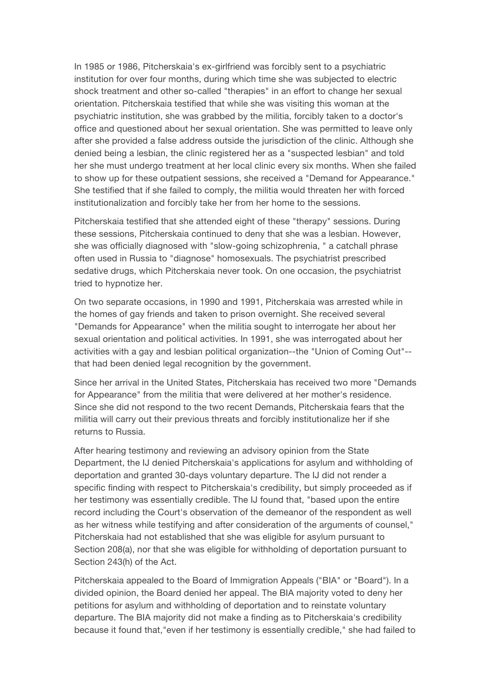In 1985 or 1986, Pitcherskaia's ex-girlfriend was forcibly sent to a psychiatric institution for over four months, during which time she was subjected to electric shock treatment and other so-called "therapies" in an effort to change her sexual orientation. Pitcherskaia testified that while she was visiting this woman at the psychiatric institution, she was grabbed by the militia, forcibly taken to a doctor's office and questioned about her sexual orientation. She was permitted to leave only after she provided a false address outside the jurisdiction of the clinic. Although she denied being a lesbian, the clinic registered her as a "suspected lesbian" and told her she must undergo treatment at her local clinic every six months. When she failed to show up for these outpatient sessions, she received a "Demand for Appearance." She testified that if she failed to comply, the militia would threaten her with forced institutionalization and forcibly take her from her home to the sessions.

Pitcherskaia testified that she attended eight of these "therapy" sessions. During these sessions, Pitcherskaia continued to deny that she was a lesbian. However, she was officially diagnosed with "slow-going schizophrenia, " a catchall phrase often used in Russia to "diagnose" homosexuals. The psychiatrist prescribed sedative drugs, which Pitcherskaia never took. On one occasion, the psychiatrist tried to hypnotize her.

On two separate occasions, in 1990 and 1991, Pitcherskaia was arrested while in the homes of gay friends and taken to prison overnight. She received several "Demands for Appearance" when the militia sought to interrogate her about her sexual orientation and political activities. In 1991, she was interrogated about her activities with a gay and lesbian political organization--the "Union of Coming Out"- that had been denied legal recognition by the government.

Since her arrival in the United States, Pitcherskaia has received two more "Demands for Appearance" from the militia that were delivered at her mother's residence. Since she did not respond to the two recent Demands, Pitcherskaia fears that the militia will carry out their previous threats and forcibly institutionalize her if she returns to Russia.

After hearing testimony and reviewing an advisory opinion from the State Department, the IJ denied Pitcherskaia's applications for asylum and withholding of deportation and granted 30-days voluntary departure. The IJ did not render a specific finding with respect to Pitcherskaia's credibility, but simply proceeded as if her testimony was essentially credible. The IJ found that, "based upon the entire record including the Court's observation of the demeanor of the respondent as well as her witness while testifying and after consideration of the arguments of counsel," Pitcherskaia had not established that she was eligible for asylum pursuant to Section 208(a), nor that she was eligible for withholding of deportation pursuant to Section 243(h) of the Act.

Pitcherskaia appealed to the Board of Immigration Appeals ("BIA" or "Board"). In a divided opinion, the Board denied her appeal. The BIA majority voted to deny her petitions for asylum and withholding of deportation and to reinstate voluntary departure. The BIA majority did not make a finding as to Pitcherskaia's credibility because it found that,"even if her testimony is essentially credible," she had failed to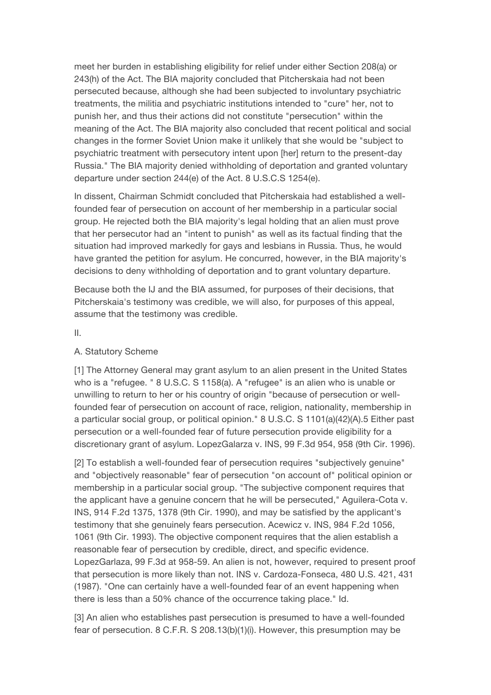meet her burden in establishing eligibility for relief under either Section 208(a) or 243(h) of the Act. The BIA majority concluded that Pitcherskaia had not been persecuted because, although she had been subjected to involuntary psychiatric treatments, the militia and psychiatric institutions intended to "cure" her, not to punish her, and thus their actions did not constitute "persecution" within the meaning of the Act. The BIA majority also concluded that recent political and social changes in the former Soviet Union make it unlikely that she would be "subject to psychiatric treatment with persecutory intent upon [her] return to the present-day Russia." The BIA majority denied withholding of deportation and granted voluntary departure under section 244(e) of the Act. 8 U.S.C.S 1254(e).

In dissent, Chairman Schmidt concluded that Pitcherskaia had established a wellfounded fear of persecution on account of her membership in a particular social group. He rejected both the BIA majority's legal holding that an alien must prove that her persecutor had an "intent to punish" as well as its factual finding that the situation had improved markedly for gays and lesbians in Russia. Thus, he would have granted the petition for asylum. He concurred, however, in the BIA majority's decisions to deny withholding of deportation and to grant voluntary departure.

Because both the IJ and the BIA assumed, for purposes of their decisions, that Pitcherskaia's testimony was credible, we will also, for purposes of this appeal, assume that the testimony was credible.

II.

# A. Statutory Scheme

[1] The Attorney General may grant asylum to an alien present in the United States who is a "refugee. " 8 U.S.C. S 1158(a). A "refugee" is an alien who is unable or unwilling to return to her or his country of origin "because of persecution or wellfounded fear of persecution on account of race, religion, nationality, membership in a particular social group, or political opinion." 8 U.S.C. S 1101(a)(42)(A).5 Either past persecution or a well-founded fear of future persecution provide eligibility for a discretionary grant of asylum. LopezGalarza v. INS, 99 F.3d 954, 958 (9th Cir. 1996).

[2] To establish a well-founded fear of persecution requires "subjectively genuine" and "objectively reasonable" fear of persecution "on account of" political opinion or membership in a particular social group. "The subjective component requires that the applicant have a genuine concern that he will be persecuted," Aguilera-Cota v. INS, 914 F.2d 1375, 1378 (9th Cir. 1990), and may be satisfied by the applicant's testimony that she genuinely fears persecution. Acewicz v. INS, 984 F.2d 1056, 1061 (9th Cir. 1993). The objective component requires that the alien establish a reasonable fear of persecution by credible, direct, and specific evidence. LopezGarlaza, 99 F.3d at 958-59. An alien is not, however, required to present proof that persecution is more likely than not. INS v. Cardoza-Fonseca, 480 U.S. 421, 431 (1987). "One can certainly have a well-founded fear of an event happening when there is less than a 50% chance of the occurrence taking place." Id.

[3] An alien who establishes past persecution is presumed to have a well-founded fear of persecution. 8 C.F.R. S 208.13(b)(1)(i). However, this presumption may be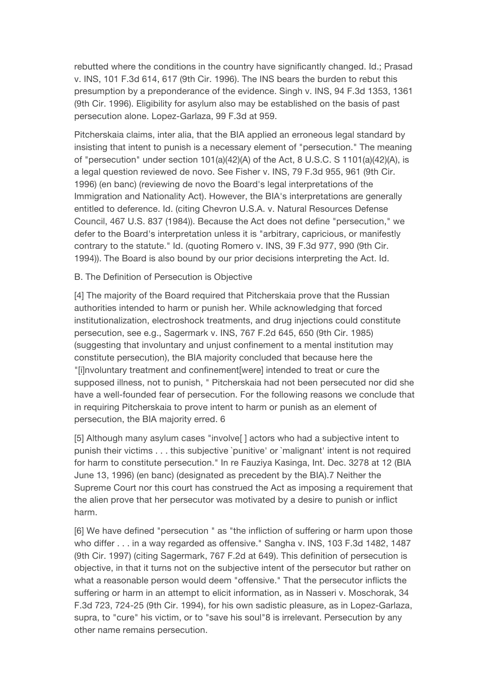rebutted where the conditions in the country have significantly changed. Id.; Prasad v. INS, 101 F.3d 614, 617 (9th Cir. 1996). The INS bears the burden to rebut this presumption by a preponderance of the evidence. Singh v. INS, 94 F.3d 1353, 1361 (9th Cir. 1996). Eligibility for asylum also may be established on the basis of past persecution alone. Lopez-Garlaza, 99 F.3d at 959.

Pitcherskaia claims, inter alia, that the BIA applied an erroneous legal standard by insisting that intent to punish is a necessary element of "persecution." The meaning of "persecution" under section 101(a)(42)(A) of the Act, 8 U.S.C. S 1101(a)(42)(A), is a legal question reviewed de novo. See Fisher v. INS, 79 F.3d 955, 961 (9th Cir. 1996) (en banc) (reviewing de novo the Board's legal interpretations of the Immigration and Nationality Act). However, the BIA's interpretations are generally entitled to deference. Id. (citing Chevron U.S.A. v. Natural Resources Defense Council, 467 U.S. 837 (1984)). Because the Act does not define "persecution," we defer to the Board's interpretation unless it is "arbitrary, capricious, or manifestly contrary to the statute." Id. (quoting Romero v. INS, 39 F.3d 977, 990 (9th Cir. 1994)). The Board is also bound by our prior decisions interpreting the Act. Id.

## B. The Definition of Persecution is Objective

[4] The majority of the Board required that Pitcherskaia prove that the Russian authorities intended to harm or punish her. While acknowledging that forced institutionalization, electroshock treatments, and drug injections could constitute persecution, see e.g., Sagermark v. INS, 767 F.2d 645, 650 (9th Cir. 1985) (suggesting that involuntary and unjust confinement to a mental institution may constitute persecution), the BIA majority concluded that because here the "[i]nvoluntary treatment and confinement[were] intended to treat or cure the supposed illness, not to punish, " Pitcherskaia had not been persecuted nor did she have a well-founded fear of persecution. For the following reasons we conclude that in requiring Pitcherskaia to prove intent to harm or punish as an element of persecution, the BIA majority erred. 6

[5] Although many asylum cases "involve [] actors who had a subjective intent to punish their victims . . . this subjective `punitive' or `malignant' intent is not required for harm to constitute persecution." In re Fauziya Kasinga, Int. Dec. 3278 at 12 (BIA June 13, 1996) (en banc) (designated as precedent by the BIA).7 Neither the Supreme Court nor this court has construed the Act as imposing a requirement that the alien prove that her persecutor was motivated by a desire to punish or inflict harm.

[6] We have defined "persecution " as "the infliction of suffering or harm upon those who differ . . . in a way regarded as offensive." Sangha v. INS, 103 F.3d 1482, 1487 (9th Cir. 1997) (citing Sagermark, 767 F.2d at 649). This definition of persecution is objective, in that it turns not on the subjective intent of the persecutor but rather on what a reasonable person would deem "offensive." That the persecutor inflicts the suffering or harm in an attempt to elicit information, as in Nasseri v. Moschorak, 34 F.3d 723, 724-25 (9th Cir. 1994), for his own sadistic pleasure, as in Lopez-Garlaza, supra, to "cure" his victim, or to "save his soul"8 is irrelevant. Persecution by any other name remains persecution.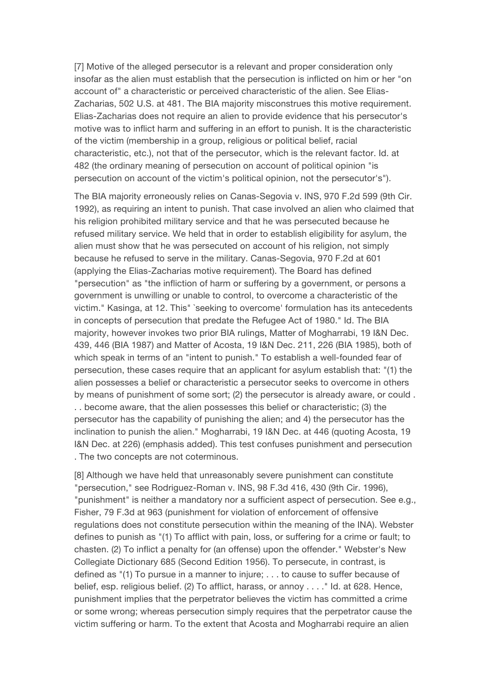[7] Motive of the alleged persecutor is a relevant and proper consideration only insofar as the alien must establish that the persecution is inflicted on him or her "on account of" a characteristic or perceived characteristic of the alien. See Elias-Zacharias, 502 U.S. at 481. The BIA majority misconstrues this motive requirement. Elias-Zacharias does not require an alien to provide evidence that his persecutor's motive was to inflict harm and suffering in an effort to punish. It is the characteristic of the victim (membership in a group, religious or political belief, racial characteristic, etc.), not that of the persecutor, which is the relevant factor. Id. at 482 (the ordinary meaning of persecution on account of political opinion "is persecution on account of the victim's political opinion, not the persecutor's").

The BIA majority erroneously relies on Canas-Segovia v. INS, 970 F.2d 599 (9th Cir. 1992), as requiring an intent to punish. That case involved an alien who claimed that his religion prohibited military service and that he was persecuted because he refused military service. We held that in order to establish eligibility for asylum, the alien must show that he was persecuted on account of his religion, not simply because he refused to serve in the military. Canas-Segovia, 970 F.2d at 601 (applying the Elias-Zacharias motive requirement). The Board has defined "persecution" as "the infliction of harm or suffering by a government, or persons a government is unwilling or unable to control, to overcome a characteristic of the victim." Kasinga, at 12. This" `seeking to overcome' formulation has its antecedents in concepts of persecution that predate the Refugee Act of 1980." Id. The BIA majority, however invokes two prior BIA rulings, Matter of Mogharrabi, 19 I&N Dec. 439, 446 (BIA 1987) and Matter of Acosta, 19 I&N Dec. 211, 226 (BIA 1985), both of which speak in terms of an "intent to punish." To establish a well-founded fear of persecution, these cases require that an applicant for asylum establish that: "(1) the alien possesses a belief or characteristic a persecutor seeks to overcome in others by means of punishment of some sort; (2) the persecutor is already aware, or could . . . become aware, that the alien possesses this belief or characteristic; (3) the persecutor has the capability of punishing the alien; and 4) the persecutor has the inclination to punish the alien." Mogharrabi, 19 I&N Dec. at 446 (quoting Acosta, 19 I&N Dec. at 226) (emphasis added). This test confuses punishment and persecution . The two concepts are not coterminous.

[8] Although we have held that unreasonably severe punishment can constitute "persecution," see Rodriguez-Roman v. INS, 98 F.3d 416, 430 (9th Cir. 1996), "punishment" is neither a mandatory nor a sufficient aspect of persecution. See e.g., Fisher, 79 F.3d at 963 (punishment for violation of enforcement of offensive regulations does not constitute persecution within the meaning of the INA). Webster defines to punish as "(1) To afflict with pain, loss, or suffering for a crime or fault; to chasten. (2) To inflict a penalty for (an offense) upon the offender." Webster's New Collegiate Dictionary 685 (Second Edition 1956). To persecute, in contrast, is defined as "(1) To pursue in a manner to injure; . . . to cause to suffer because of belief, esp. religious belief. (2) To afflict, harass, or annoy . . . ." Id. at 628. Hence, punishment implies that the perpetrator believes the victim has committed a crime or some wrong; whereas persecution simply requires that the perpetrator cause the victim suffering or harm. To the extent that Acosta and Mogharrabi require an alien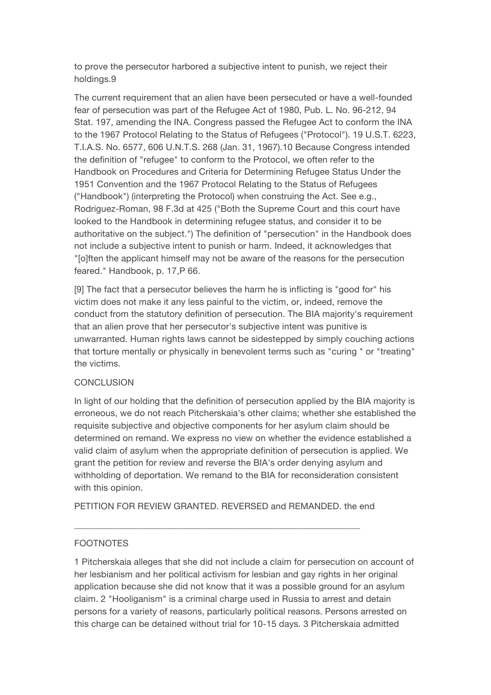to prove the persecutor harbored a subjective intent to punish, we reject their holdings.9

The current requirement that an alien have been persecuted or have a well-founded fear of persecution was part of the Refugee Act of 1980, Pub. L. No. 96-212, 94 Stat. 197, amending the INA. Congress passed the Refugee Act to conform the INA to the 1967 Protocol Relating to the Status of Refugees ("Protocol"). 19 U.S.T. 6223, T.I.A.S. No. 6577, 606 U.N.T.S. 268 (Jan. 31, 1967).10 Because Congress intended the definition of "refugee" to conform to the Protocol, we often refer to the Handbook on Procedures and Criteria for Determining Refugee Status Under the 1951 Convention and the 1967 Protocol Relating to the Status of Refugees ("Handbook") (interpreting the Protocol) when construing the Act. See e.g., Rodriguez-Roman, 98 F.3d at 425 ("Both the Supreme Court and this court have looked to the Handbook in determining refugee status, and consider it to be authoritative on the subject.") The definition of "persecution" in the Handbook does not include a subjective intent to punish or harm. Indeed, it acknowledges that "[o]ften the applicant himself may not be aware of the reasons for the persecution feared." Handbook, p. 17,P 66.

[9] The fact that a persecutor believes the harm he is inflicting is "good for" his victim does not make it any less painful to the victim, or, indeed, remove the conduct from the statutory definition of persecution. The BIA majority's requirement that an alien prove that her persecutor's subjective intent was punitive is unwarranted. Human rights laws cannot be sidestepped by simply couching actions that torture mentally or physically in benevolent terms such as "curing " or "treating" the victims.

## **CONCLUSION**

In light of our holding that the definition of persecution applied by the BIA majority is erroneous, we do not reach Pitcherskaia's other claims; whether she established the requisite subjective and objective components for her asylum claim should be determined on remand. We express no view on whether the evidence established a valid claim of asylum when the appropriate definition of persecution is applied. We grant the petition for review and reverse the BIA's order denying asylum and withholding of deportation. We remand to the BIA for reconsideration consistent with this opinion.

PETITION FOR REVIEW GRANTED. REVERSED and REMANDED. the end

\_\_\_\_\_\_\_\_\_\_\_\_\_\_\_\_\_\_\_\_\_\_\_\_\_\_\_\_\_\_\_\_\_\_\_\_\_\_\_\_\_\_\_\_\_\_\_\_\_\_\_\_\_\_\_\_\_\_\_\_\_\_\_

## FOOTNOTES

1 Pitcherskaia alleges that she did not include a claim for persecution on account of her lesbianism and her political activism for lesbian and gay rights in her original application because she did not know that it was a possible ground for an asylum claim. 2 "Hooliganism" is a criminal charge used in Russia to arrest and detain persons for a variety of reasons, particularly political reasons. Persons arrested on this charge can be detained without trial for 10-15 days. 3 Pitcherskaia admitted